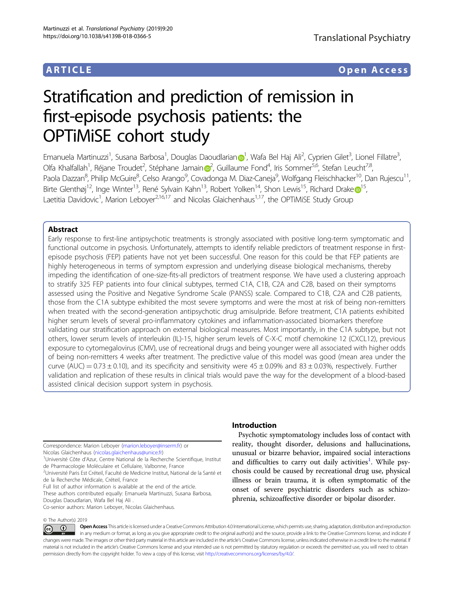# ARTICLE Open Access

# Stratification and prediction of remission in first-episode psychosis patients: the OPTiMiSE cohort study

Ema[n](http://orcid.org/0000-0002-5854-9253)uela Martinuzzi<sup>[1](http://orcid.org/0000-0002-5854-9253)</sup>, Susana Barbosa<sup>1</sup>, Douglas Daoudlarian⊕<sup>1</sup>, Wafa Bel Haj Ali<sup>2</sup>, Cyprien Gilet<sup>3</sup>, Lionel Fillatre<sup>3</sup> , Olfa Khalfallah<sup>1</sup>, Réja[n](http://orcid.org/0000-0002-4321-4100)e Troudet<sup>[2](http://orcid.org/0000-0002-4321-4100)</sup>, Stéphane Jamain@<sup>2</sup>, Guillaume Fond<sup>4</sup>, Iris Sommer<sup>5,6</sup>, Stefan Leucht<sup>7,8</sup>, Paola Dazzan<sup>8</sup>, Philip McGuire<sup>8</sup>, Celso Arango<sup>9</sup>, Covadonga M. Diaz-Caneja<sup>9</sup>, Wolfgang Fleischhacker<sup>10</sup>, Dan Rujescu<sup>11</sup>, Birt[e](http://orcid.org/0000-0003-0220-4835) Glenthøj<sup>[1](http://orcid.org/0000-0003-0220-4835)2</sup>, Inge Winter<sup>13</sup>, René Sylvain Kahn<sup>13</sup>, Robert Yolken<sup>14</sup>, Shon Lewis<sup>15</sup>, Richard Drake <sup>15</sup>, Laetitia Davidovic<sup>1</sup>, Marion Leboyer<sup>2,16,17</sup> and Nicolas Glaichenhaus<sup>1,17</sup>, the OPTiMiSE Study Group

# Abstract

Early response to first-line antipsychotic treatments is strongly associated with positive long-term symptomatic and functional outcome in psychosis. Unfortunately, attempts to identify reliable predictors of treatment response in firstepisode psychosis (FEP) patients have not yet been successful. One reason for this could be that FEP patients are highly heterogeneous in terms of symptom expression and underlying disease biological mechanisms, thereby impeding the identification of one-size-fits-all predictors of treatment response. We have used a clustering approach to stratify 325 FEP patients into four clinical subtypes, termed C1A, C1B, C2A and C2B, based on their symptoms assessed using the Positive and Negative Syndrome Scale (PANSS) scale. Compared to C1B, C2A and C2B patients, those from the C1A subtype exhibited the most severe symptoms and were the most at risk of being non-remitters when treated with the second-generation antipsychotic drug amisulpride. Before treatment, C1A patients exhibited higher serum levels of several pro-inflammatory cytokines and inflammation-associated biomarkers therefore validating our stratification approach on external biological measures. Most importantly, in the C1A subtype, but not others, lower serum levels of interleukin (IL)-15, higher serum levels of C-X-C motif chemokine 12 (CXCL12), previous exposure to cytomegalovirus (CMV), use of recreational drugs and being younger were all associated with higher odds of being non-remitters 4 weeks after treatment. The predictive value of this model was good (mean area under the curve (AUC) =  $0.73 \pm 0.10$ ), and its specificity and sensitivity were  $45 \pm 0.09\%$  and  $83 \pm 0.03\%$ , respectively. Further validation and replication of these results in clinical trials would pave the way for the development of a blood-based assisted clinical decision support system in psychosis.

Correspondence: Marion Leboyer [\(marion.leboyer@inserm.fr\)](mailto:marion.leboyer@inserm.fr) or Nicolas Glaichenhaus ([nicolas.glaichenhaus@unice.fr\)](mailto:nicolas.glaichenhaus@unice.fr) <sup>1</sup>

<sup>1</sup>Université Côte d'Azur, Centre National de la Recherche Scientifique, Institut de Pharmacologie Moléculaire et Cellulaire, Valbonne, France

<sup>2</sup>Université Paris Est Créteil, Faculté de Medicine Institut, National de la Santé et de la Recherche Médicale, Créteil, France

Full list of author information is available at the end of the article. These authors contributed equally: Emanuela Martinuzzi, Susana Barbosa, Douglas Daoudlarian, Wafa Bel Haj Ali . Co-senior authors: Marion Leboyer, Nicolas Glaichenhaus.

## © The Author(s) 2019

Introduction

Psychotic symptomatology includes loss of contact with reality, thought disorder, delusions and hallucinations, unusual or bizarre behavior, impaired social interactions and difficulties to carry out daily activities<sup>[1](#page-10-0)</sup>. While psychosis could be caused by recreational drug use, physical illness or brain trauma, it is often symptomatic of the onset of severe psychiatric disorders such as schizophrenia, schizoaffective disorder or bipolar disorder.

Open Access This article is licensed under a Creative Commons Attribution 4.0 International License, which permits use, sharing, adaptation, distribution and reproduction  $\bigcirc$  $\left[{\rm (cc)}\right]$ in any medium or format, as long as you give appropriate credit to the original author(s) and the source, provide a link to the Creative Commons license, and indicate if changes were made. The images or other third party material in this article are included in the article's Creative Commons license, unless indicated otherwise in a credit line to the material. If material is not included in the article's Creative Commons license and your intended use is not permitted by statutory regulation or exceeds the permitted use, you will need to obtain permission directly from the copyright holder. To view a copy of this license, visit <http://creativecommons.org/licenses/by/4.0/>.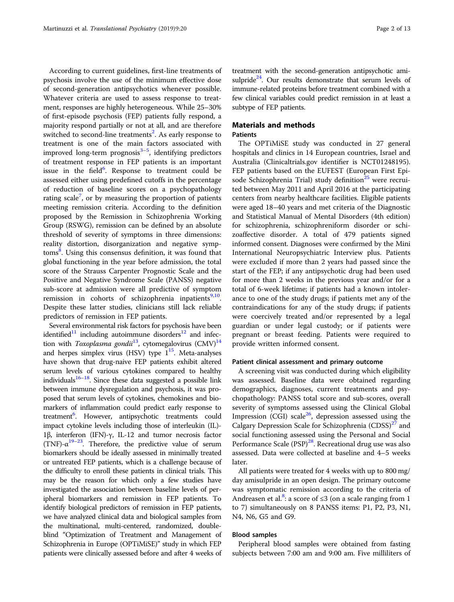According to current guidelines, first-line treatments of psychosis involve the use of the minimum effective dose of second-generation antipsychotics whenever possible. Whatever criteria are used to assess response to treatment, responses are highly heterogeneous. While 25–30% of first-episode psychosis (FEP) patients fully respond, a majority respond partially or not at all, and are therefore switched to second-line treatments<sup>[2](#page-10-0)</sup>. As early response to treatment is one of the main factors associated with improved long-term prognosis<sup>[3](#page-11-0)–[5](#page-11-0)</sup>, identifying predictors of treatment response in FEP patients is an important issue in the field<sup>[6](#page-11-0)</sup>. Response to treatment could be assessed either using predefined cutoffs in the percentage of reduction of baseline scores on a psychopathology rating scale<sup>[7](#page-11-0)</sup>, or by measuring the proportion of patients meeting remission criteria. According to the definition proposed by the Remission in Schizophrenia Working Group (RSWG), remission can be defined by an absolute threshold of severity of symptoms in three dimensions: reality distortion, disorganization and negative symp-toms<sup>[8](#page-11-0)</sup>. Using this consensus definition, it was found that global functioning in the year before admission, the total score of the Strauss Carpenter Prognostic Scale and the Positive and Negative Syndrome Scale (PANSS) negative sub-score at admission were all predictive of symptom remission in cohorts of schizophrenia inpatients<sup>[9,10](#page-11-0)</sup>. Despite these latter studies, clinicians still lack reliable predictors of remission in FEP patients.

Several environmental risk factors for psychosis have been identified<sup>11</sup> including autoimmune disorders<sup>12</sup> and infec-tion with Toxoplasma gondii<sup>[13](#page-11-0)</sup>, cytomegalovirus (CMV)<sup>14</sup> and herpes simplex virus (HSV) type  $1^{15}$ . Meta-analyses have shown that drug-naive FEP patients exhibit altered serum levels of various cytokines compared to healthy individuals $16-18$  $16-18$ . Since these data suggested a possible link between immune dysregulation and psychosis, it was proposed that serum levels of cytokines, chemokines and biomarkers of inflammation could predict early response to treatment<sup>6</sup>. However, antipsychotic treatments could impact cytokine levels including those of interleukin (IL)- 1β, interferon (IFN)-γ, IL-12 and tumor necrosis factor (TNF)- $\alpha^{19-23}$  $\alpha^{19-23}$  $\alpha^{19-23}$  $\alpha^{19-23}$  $\alpha^{19-23}$ . Therefore, the predictive value of serum biomarkers should be ideally assessed in minimally treated or untreated FEP patients, which is a challenge because of the difficulty to enroll these patients in clinical trials. This may be the reason for which only a few studies have investigated the association between baseline levels of peripheral biomarkers and remission in FEP patients. To identify biological predictors of remission in FEP patients, we have analyzed clinical data and biological samples from the multinational, multi-centered, randomized, doubleblind "Optimization of Treatment and Management of Schizophrenia in Europe (OPTiMiSE)" study in which FEP patients were clinically assessed before and after 4 weeks of treatment with the second-generation antipsychotic amisulpride<sup>24</sup>. Our results demonstrate that serum levels of immune-related proteins before treatment combined with a few clinical variables could predict remission in at least a subtype of FEP patients.

# Materials and methods Patients

The OPTiMiSE study was conducted in 27 general hospitals and clinics in 14 European countries, Israel and Australia (Clinicaltrials.gov identifier is NCT01248195). FEP patients based on the EUFEST (European First Epi-sode Schizophrenia Trial) study definition<sup>[25](#page-11-0)</sup> were recruited between May 2011 and April 2016 at the participating centers from nearby healthcare facilities. Eligible patients were aged 18–40 years and met criteria of the Diagnostic and Statistical Manual of Mental Disorders (4th edition) for schizophrenia, schizophreniform disorder or schizoaffective disorder. A total of 479 patients signed informed consent. Diagnoses were confirmed by the Mini International Neuropsychiatric Interview plus. Patients were excluded if more than 2 years had passed since the start of the FEP; if any antipsychotic drug had been used for more than 2 weeks in the previous year and/or for a total of 6-week lifetime; if patients had a known intolerance to one of the study drugs; if patients met any of the contraindications for any of the study drugs; if patients were coercively treated and/or represented by a legal guardian or under legal custody; or if patients were pregnant or breast feeding. Patients were required to provide written informed consent.

# Patient clinical assessment and primary outcome

A screening visit was conducted during which eligibility was assessed. Baseline data were obtained regarding demographics, diagnoses, current treatments and psychopathology: PANSS total score and sub-scores, overall severity of symptoms assessed using the Clinical Global Impression (CGI) scale<sup>26</sup>, depression assessed using the Calgary Depression Scale for Schizophrenia  $(CDSS)^{27}$  $(CDSS)^{27}$  $(CDSS)^{27}$  and social functioning assessed using the Personal and Social Performance Scale (PSP)<sup>[28](#page-11-0)</sup>. Recreational drug use was also assessed. Data were collected at baseline and 4–5 weeks later.

All patients were treated for 4 weeks with up to 800 mg/ day amisulpride in an open design. The primary outcome was symptomatic remission according to the criteria of Andreasen et al.<sup>[8](#page-11-0)</sup>: a score of  $\leq$ 3 (on a scale ranging from 1 to 7) simultaneously on 8 PANSS items: P1, P2, P3, N1, N4, N6, G5 and G9.

# Blood samples

Peripheral blood samples were obtained from fasting subjects between 7:00 am and 9:00 am. Five milliliters of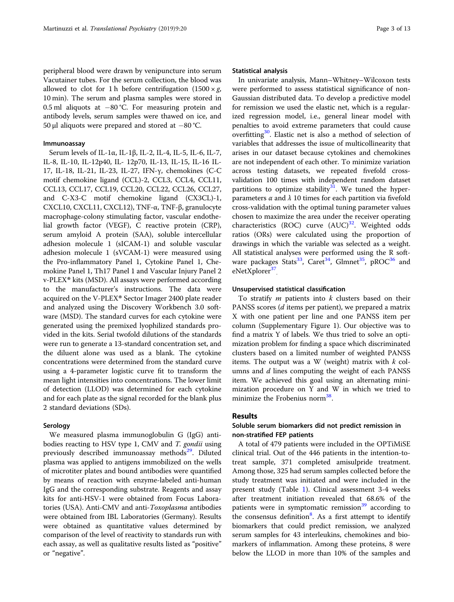peripheral blood were drawn by venipuncture into serum Vacutainer tubes. For the serum collection, the blood was allowed to clot for 1 h before centrifugation  $(1500 \times g,$ 10 min). The serum and plasma samples were stored in 0.5 ml aliquots at −80 °C. For measuring protein and antibody levels, serum samples were thawed on ice, and 50 µl aliquots were prepared and stored at −80 °C.

# Immunoassay

Serum levels of IL-1α, IL-1β, IL-2, IL-4, IL-5, IL-6, IL-7, IL-8, IL-10, IL-12p40, IL- 12p70, IL-13, IL-15, IL-16 IL-17, IL-18, IL-21, IL-23, IL-27, IFN-γ, chemokines (C-C motif chemokine ligand (CCL)-2, CCL3, CCL4, CCL11, CCL13, CCL17, CCL19, CCL20, CCL22, CCL26, CCL27, and C-X3-C motif chemokine ligand (CX3CL)-1, CXCL10, CXCL11, CXCL12), TNF-α, TNF-β, granulocyte macrophage-colony stimulating factor, vascular endothelial growth factor (VEGF), C reactive protein (CRP), serum amyloid A protein (SAA), soluble intercellular adhesion molecule 1 (sICAM-1) and soluble vascular adhesion molecule 1 (sVCAM-1) were measured using the Pro-inflammatory Panel 1, Cytokine Panel 1, Chemokine Panel 1, Th17 Panel 1 and Vascular Injury Panel 2 v-PLEX® kits (MSD). All assays were performed according to the manufacturer's instructions. The data were acquired on the V-PLEX® Sector Imager 2400 plate reader and analyzed using the Discovery Workbench 3.0 software (MSD). The standard curves for each cytokine were generated using the premixed lyophilized standards provided in the kits. Serial twofold dilutions of the standards were run to generate a 13-standard concentration set, and the diluent alone was used as a blank. The cytokine concentrations were determined from the standard curve using a 4-parameter logistic curve fit to transform the mean light intensities into concentrations. The lower limit of detection (LLOD) was determined for each cytokine and for each plate as the signal recorded for the blank plus 2 standard deviations (SDs).

# Serology

We measured plasma immunoglobulin G (IgG) antibodies reacting to HSV type 1, CMV and T. gondii using previously described immunoassay methods<sup>[29](#page-11-0)</sup>. Diluted plasma was applied to antigens immobilized on the wells of microtiter plates and bound antibodies were quantified by means of reaction with enzyme-labeled anti-human IgG and the corresponding substrate. Reagents and assay kits for anti-HSV-1 were obtained from Focus Laboratories (USA). Anti-CMV and anti-Toxoplasma antibodies were obtained from IBL Laboratories (Germany). Results were obtained as quantitative values determined by comparison of the level of reactivity to standards run with each assay, as well as qualitative results listed as "positive" or "negative".

# Statistical analysis

In univariate analysis, Mann–Whitney–Wilcoxon tests were performed to assess statistical significance of non-Gaussian distributed data. To develop a predictive model for remission we used the elastic net, which is a regularized regression model, i.e., general linear model with penalties to avoid extreme parameters that could cause overfitting $30$ . Elastic net is also a method of selection of variables that addresses the issue of multicollinearity that arises in our dataset because cytokines and chemokines are not independent of each other. To minimize variation across testing datasets, we repeated fivefold crossvalidation 100 times with independent random dataset partitions to optimize stability<sup>[31](#page-11-0)</sup>. We tuned the hyperparameters  $\alpha$  and  $\lambda$  10 times for each partition via fivefold cross-validation with the optimal tuning parameter values chosen to maximize the area under the receiver operating characteristics (ROC) curve  $(AUC)^{32}$ . Weighted odds ratios (ORs) were calculated using the proportion of drawings in which the variable was selected as a weight. All statistical analyses were performed using the R software packages Stats<sup>33</sup>, Caret<sup>34</sup>, Glmnet<sup>35</sup>, pROC<sup>36</sup> and eNetXplorer<sup>37</sup>

# Unsupervised statistical classification

To stratify  $m$  patients into  $k$  clusters based on their PANSS scores (*d* items per patient), we prepared a matrix X with one patient per line and one PANSS item per column (Supplementary Figure 1). Our objective was to find a matrix Y of labels. We thus tried to solve an optimization problem for finding a space which discriminated clusters based on a limited number of weighted PANSS items. The output was a W (weight) matrix with  $k$  columns and d lines computing the weight of each PANSS item. We achieved this goal using an alternating minimization procedure on Y and W in which we tried to minimize the Frobenius norm<sup>[38](#page-11-0)</sup>.

# Results

# Soluble serum biomarkers did not predict remission in non-stratified FEP patients

A total of 479 patients were included in the OPTiMiSE clinical trial. Out of the 446 patients in the intention-totreat sample, 371 completed amisulpride treatment. Among those, 325 had serum samples collected before the study treatment was initiated and were included in the present study (Table [1](#page-3-0)). Clinical assessment 3-4 weeks after treatment initiation revealed that 68.6% of the patients were in symptomatic remission $39$  according to the consensus definition<sup>[8](#page-11-0)</sup>. As a first attempt to identify biomarkers that could predict remission, we analyzed serum samples for 43 interleukins, chemokines and biomarkers of inflammation. Among these proteins, 8 were below the LLOD in more than 10% of the samples and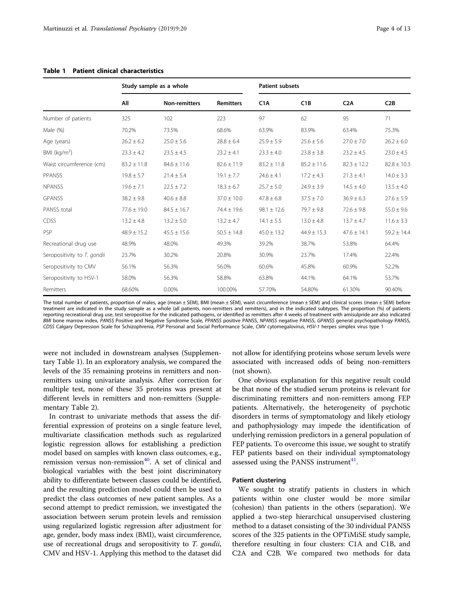|                             |                 | Study sample as a whole |                  | <b>Patient subsets</b> |                 |                 |                 |
|-----------------------------|-----------------|-------------------------|------------------|------------------------|-----------------|-----------------|-----------------|
|                             | All             | <b>Non-remitters</b>    | <b>Remitters</b> | C <sub>1</sub> A       | C1B             | C2A             | C2B             |
| Number of patients          | 325             | 102                     | 223              | 97                     | 62              | 95              | 71              |
| Male (%)                    | 70.2%           | 73.5%                   | 68.6%            | 63.9%                  | 83.9%           | 63.4%           | 75.3%           |
| Age (years)                 | $26.2 \pm 6.2$  | $25.0 \pm 5.6$          | $28.8 \pm 6.4$   | $25.9 \pm 5.9$         | $25.6 \pm 5.6$  | $27.0 \pm 7.0$  | $26.2 \pm 6.0$  |
| BMI ( $kg/m2$ )             | $23.3 \pm 4.2$  | $23.5 \pm 4.5$          | $23.2 \pm 4.1$   | $23.3 \pm 4.0$         | $23.8 \pm 3.8$  | $23.2 \pm 4.5$  | $23.0 \pm 4.5$  |
| Waist circumference (cm)    | $83.2 \pm 11.8$ | $84.6 \pm 11.6$         | $82.6 \pm 11.9$  | $83.2 \pm 11.8$        | $85.2 \pm 11.6$ | $82.3 \pm 12.2$ | $82.8 \pm 10.3$ |
| PPANSS                      | $19.8 \pm 5.7$  | $21.4 \pm 5.4$          | $19.1 \pm 7.7$   | $24.6 \pm 4.1$         | $17.2 \pm 4.3$  | $21.3 \pm 4.1$  | $14.0 \pm 3.3$  |
| <b>NPANSS</b>               | $19.6 \pm 7.1$  | $22.5 \pm 7.2$          | $18.3 \pm 6.7$   | $25.7 \pm 5.0$         | $24.9 \pm 3.9$  | $14.5 \pm 4.0$  | $13.5 \pm 4.0$  |
| <b>GPANSS</b>               | $38.2 \pm 9.8$  | $40.6 \pm 8.8$          | $37.0 \pm 10.0$  | $47.8 \pm 6.8$         | $37.5 \pm 7.0$  | $36.9 \pm 6.3$  | $27.6 \pm 5.9$  |
| PANSS total                 | $77.6 \pm 19.0$ | $84.5 \pm 16.7$         | $74.4 \pm 19.6$  | $98.1 \pm 12.6$        | $79.7 \pm 9.8$  | $72.6 \pm 9.8$  | $55.0 \pm 9.6$  |
| <b>CDSS</b>                 | $13.2 \pm 4.8$  | $13.2 \pm 5.0$          | $13.2 \pm 4.7$   | $14.1 \pm 5.5$         | $13.0 \pm 4.8$  | $13.7 \pm 4.7$  | $11.6 \pm 3.3$  |
| <b>PSP</b>                  | $48.9 \pm 15.2$ | $45.5 \pm 15.6$         | $50.5 \pm 14.8$  | $45.0 \pm 13.2$        | $44.9 \pm 15.3$ | $47.6 \pm 14.1$ | $59.2 \pm 14.4$ |
| Recreational drug use       | 48.9%           | 48.0%                   | 49.3%            | 39.2%                  | 38.7%           | 53.8%           | 64.4%           |
| Seropositivity to T. gondii | 23.7%           | 30.2%                   | 20.8%            | 30.9%                  | 23.7%           | 17.4%           | 22.4%           |
| Seropositivity to CMV       | 56.1%           | 56.3%                   | 56.0%            | 60.6%                  | 45.8%           | 60.9%           | 52.2%           |
| Seropositivity to HSV-1     | 58.0%           | 56.3%                   | 58.8%            | 63.8%                  | 44.1%           | 64.1%           | 53.7%           |
| Remitters                   | 68.60%          | 0.00%                   | 100.00%          | 57.70%                 | 54.80%          | 61.30%          | 90.40%          |

# <span id="page-3-0"></span>Table 1 Patient clinical characteristics

The total number of patients, proportion of males, age (mean ± SEM), BMI (mean ± SEM), waist circumference (mean ± SEM) and clinical scores (mean ± SEM) before treatment are indicated in the study sample as a whole (all patients, non-remitters and remitters), and in the indicated subtypes. The proportion (%) of patients reporting recreational drug use, test seropositive for the indicated pathogens, or identified as remitters after 4 weeks of treatment with amisulpride are also indicated BMI bone marrow index, PANSS Positive and Negative Syndrome Scale, PPANSS positive PANSS, NPANSS negative PANSS, GPANSS general psychopathology PANSS, CDSS Calgary Depression Scale for Schizophrenia, PSP Personal and Social Performance Scale, CMV cytomegalovirus, HSV-1 herpes simplex virus type 1

were not included in downstream analyses (Supplementary Table 1). In an exploratory analysis, we compared the levels of the 35 remaining proteins in remitters and nonremitters using univariate analysis. After correction for multiple test, none of these 35 proteins was present at different levels in remitters and non-remitters (Supplementary Table 2).

In contrast to univariate methods that assess the differential expression of proteins on a single feature level, multivariate classification methods such as regularized logistic regression allows for establishing a prediction model based on samples with known class outcomes, e.g., remission versus non-remission $40$ . A set of clinical and biological variables with the best joint discriminatory ability to differentiate between classes could be identified, and the resulting prediction model could then be used to predict the class outcomes of new patient samples. As a second attempt to predict remission, we investigated the association between serum protein levels and remission using regularized logistic regression after adjustment for age, gender, body mass index (BMI), waist circumference, use of recreational drugs and seropositivity to T. gondii, CMV and HSV-1. Applying this method to the dataset did not allow for identifying proteins whose serum levels were associated with increased odds of being non-remitters (not shown).

One obvious explanation for this negative result could be that none of the studied serum proteins is relevant for discriminating remitters and non-remitters among FEP patients. Alternatively, the heterogeneity of psychotic disorders in terms of symptomatology and likely etiology and pathophysiology may impede the identification of underlying remission predictors in a general population of FEP patients. To overcome this issue, we sought to stratify FEP patients based on their individual symptomatology assessed using the PANSS instrument<sup>41</sup>.

# Patient clustering

We sought to stratify patients in clusters in which patients within one cluster would be more similar (cohesion) than patients in the others (separation). We applied a two-step hierarchical unsupervised clustering method to a dataset consisting of the 30 individual PANSS scores of the 325 patients in the OPTiMiSE study sample, therefore resulting in four clusters: C1A and C1B, and C2A and C2B. We compared two methods for data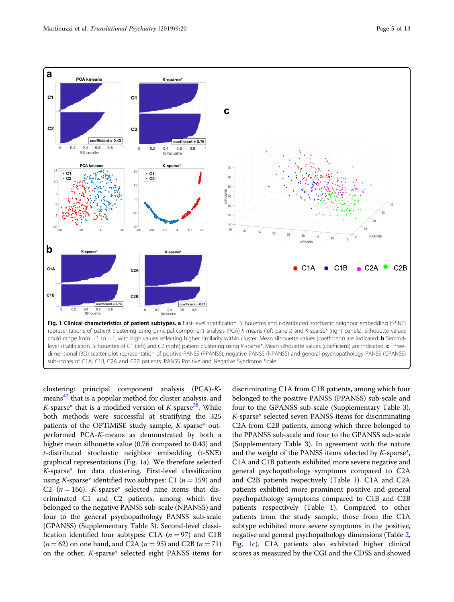<span id="page-4-0"></span>

clustering: principal component analysis (PCA)-Kmeans[42](#page-11-0) that is a popular method for cluster analysis, and K-sparse\* that is a modified version of K-sparse<sup>[38](#page-11-0)</sup>. While both methods were successful at stratifying the 325 patients of the OPTiMiSE study sample, K-sparse\* outperformed PCA-K-means as demonstrated by both a higher mean silhouette value (0.76 compared to 0.43) and t-distributed stochastic neighbor embedding (t-SNE) graphical representations (Fig. 1a). We therefore selected K-sparse\* for data clustering. First-level classification using K-sparse\* identified two subtypes: C1 ( $n = 159$ ) and C2 ( $n = 166$ ). K-sparse\* selected nine items that discriminated C1 and C2 patients, among which five belonged to the negative PANSS sub-scale (NPANSS) and four to the general psychopathology PANSS sub-scale (GPANSS) (Supplementary Table 3). Second-level classification identified four subtypes: C1A ( $n = 97$ ) and C1B  $(n = 62)$  on one hand, and C2A  $(n = 95)$  and C2B  $(n = 71)$ on the other. K-sparse\* selected eight PANSS items for discriminating C1A from C1B patients, among which four belonged to the positive PANSS (PPANSS) sub-scale and four to the GPANSS sub-scale (Supplementary Table 3). K-sparse\* selected seven PANSS items for discriminating C2A from C2B patients, among which three belonged to the PPANSS sub-scale and four to the GPANSS sub-scale (Supplementary Table 3). In agreement with the nature and the weight of the PANSS items selected by K-sparse\*, C1A and C1B patients exhibited more severe negative and general psychopathology symptoms compared to C2A and C2B patients respectively (Table [1\)](#page-3-0). C1A and C2A patients exhibited more prominent positive and general psychopathology symptoms compared to C1B and C2B patients respectively (Table [1\)](#page-3-0). Compared to other patients from the study sample, those from the C1A subtype exhibited more severe symptoms in the positive, negative and general psychopathology dimensions (Table [2](#page-5-0), Fig. 1c). C1A patients also exhibited higher clinical scores as measured by the CGI and the CDSS and showed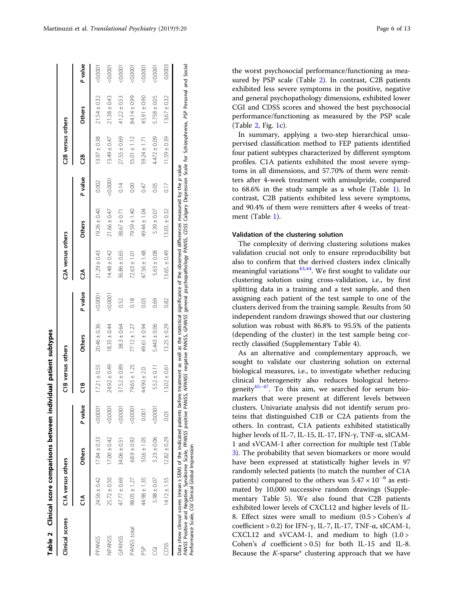<span id="page-5-0"></span>

| Clinical scores | C1A versus others                                                                                                                                                                                                                                                                                                                                                                                                           |                  |         | C1B versus others |                  |         | C <sub>2</sub> A versus others |                   |         | C <sub>2</sub> B versus others |                  |         |
|-----------------|-----------------------------------------------------------------------------------------------------------------------------------------------------------------------------------------------------------------------------------------------------------------------------------------------------------------------------------------------------------------------------------------------------------------------------|------------------|---------|-------------------|------------------|---------|--------------------------------|-------------------|---------|--------------------------------|------------------|---------|
|                 | ຸ<br>ວົ                                                                                                                                                                                                                                                                                                                                                                                                                     | <b>Others</b>    | P value | ە<br>ت            | <b>Others</b>    | P value | อี                             | <b>Others</b>     | P value | បឹ                             | <b>Others</b>    | P value |
| PPANSS          | $24.56 \pm 0.42$                                                                                                                                                                                                                                                                                                                                                                                                            | $17.84 \pm 0.33$ | 0.0001  | $17.21 \pm 0.55$  | $20.46 \pm 0.36$ | 0.0001  | $21.29 \pm 0.43$               | $19.26 \pm 0.40$  | 0.002   | $13.97 \pm 0.38$               | $21.54 \pm 0.32$ | 0.0001  |
| <b>NPANSS</b>   | $25.72 \pm 0.50$                                                                                                                                                                                                                                                                                                                                                                                                            | $17.00 \pm 0.42$ | 0.0001  | $24.92 \pm 0.49$  | $18.35 \pm 0.44$ | 0.000   | $14.48 \pm 0.42$               | $21.66 \pm 0.47$  | 0.0001  | $13.49 \pm 0.47$               | $21.38 \pm 0.43$ | 0.000   |
| <b>GPANSS</b>   | 47.77 ± 0.69                                                                                                                                                                                                                                                                                                                                                                                                                | $34.06 \pm 0.51$ | 0.0001  | $37.52 \pm 0.89$  | $38.3 \pm 0.64$  | 0.52    | $36.86 \pm 0.65$               | $38.67 \pm 0.71$  | 0.14    | $27.55 \pm 0.69$               | $41.22 \pm 0.53$ | 0.0001  |
| PANSS total     | $98.05 \pm 1.27$                                                                                                                                                                                                                                                                                                                                                                                                            | $68.9 \pm 0.92$  | 0.0001  | 79.65 ± 1.25      | $77.12 \pm 1.27$ | 0.18    | $72.63 \pm 1.01$               | 79.59 ± 1.40      | 0.00    | $55.01 \pm 1.12$               | 84.14 ± 0.99     | 0.000   |
| 9g              | $44.98 \pm 1.35$                                                                                                                                                                                                                                                                                                                                                                                                            | $50.6 \pm 1.05$  | 0.001   | $44.90 \pm 2.0$   | 49.61 ± 0.94     | 0.03    | 47.56 ± 1.48                   | 49.44 ± 1.04      | 0.47    | $59.24 \pm 1.71$               | $45.91 \pm 0.90$ | &0.000  |
| g               | $5.98 \pm 0.07$                                                                                                                                                                                                                                                                                                                                                                                                             | $5.23 \pm 0.06$  | 0.0001  | $5.52 \pm 0.11$   | $5.443 \pm 0.06$ | 0.69    | $5.63 \pm 0.08$                | $5.39 \pm 0.07$   | 0.05    | $4.472 \pm 0.09$               | $5.738 \pm 0.05$ | 50000   |
| Ë               | $14.12 \pm 1.55$                                                                                                                                                                                                                                                                                                                                                                                                            | $12.82 \pm 0.29$ | 0.03    | $13.02 \pm 0.61$  | $13.25 \pm 0.29$ | 0.82    | $13.65. \pm 0.49$              | $13.03. \pm 0.32$ | 0.17    | $11.59 \pm 0.39$               | $13.67 \pm 0.32$ | 0.0003  |
|                 | PANSS Positive Syndrome Scale, PPANSS positive PANSS, NPANSS, negative PANSS, general psychopathology PANSS, CDSS Calgary Depression Scale for Schizophrenia, PSP Personal and Social<br>Data show clinical scores (mean ± SEM) of the indicated patients before treatment as well as the statistical significance of the observed differences measured by the p value<br>Performance Scale, CG/ Clinical Global Impression |                  |         |                   |                  |         |                                |                   |         |                                |                  |         |

Performance Scale, CGI Clinical Global Impression

the worst psychosocial performance/functioning as measured by PSP scale (Table 2). In contrast, C2B patients exhibited less severe symptoms in the positive, negative and general psychopathology dimensions, exhibited lower CGI and CDSS scores and showed the best psychosocial performance/functioning as measured by the PSP scale (Table  $2$ , Fig. [1c](#page-4-0)).

In summary, applying a two-step hierarchical unsupervised classification method to FEP patients identified four patient subtypes characterized by different symptom profiles. C1A patients exhibited the most severe symptoms in all dimensions, and 57.70% of them were remitters after 4-week treatment with amisulpride, compared to 68.6% in the study sample as a whole (Table [1](#page-3-0)). In contrast, C2B patients exhibited less severe symptoms, and 90.4% of them were remitters after 4 weeks of treatment (Table [1](#page-3-0)).

# Validation of the clustering solution

The complexity of deriving clustering solutions makes validation crucial not only to ensure reproducibility but also to confirm that the derived clusters index clinically meaningful variations<sup>43,44</sup>. We first sought to validate our clustering solution using cross-validation, i.e., by first splitting data in a training and a test sample, and then assigning each patient of the test sample to one of the clusters derived from the training sample. Results from 50 independent random drawings showed that our clustering solution was robust with 86.8% to 95.5% of the patients (depending of the cluster) in the test sample being correctly classified (Supplementary Table 4).

As an alternative and complementary approach, we sought to validate our clustering solution on external biological measures, i.e., to investigate whether reducing clinical heterogeneity also reduces biological heterogeneity $45-47$  $45-47$ . To this aim, we searched for serum biomarkers that were present at different levels between clusters. Univariate analysis did not identify serum proteins that distinguished C1B or C2A patients from the others. In contrast, C1A patients exhibited statistically higher levels of IL-7, IL-15, IL-17, IFN-γ, TNF-α, sICAM-1 and sVCAM-1 after correction for multiple test (Table [3\)](#page-6-0). The probability that seven biomarkers or more would have been expressed at statistically higher levels in 97 randomly selected patients (to match the number of C1A patients) compared to the others was  $5.47 \times 10^{-6}$  as estimated by 10,000 successive random drawings (Supplementary Table 5). We also found that C2B patients exhibited lower levels of CXCL12 and higher levels of IL-8. Effect sizes were small to medium  $(0.5 > \text{Cohen's } d)$ coefficient > 0.2) for IFN-γ, IL-7, IL-17, TNF-α, sICAM-1, CXCL12 and sVCAM-1, and medium to high (1.0 > Cohen's  $d$  coefficient > 0.5) for both IL-15 and IL-8. Because the  $K$ -sparse\* clustering approach that we have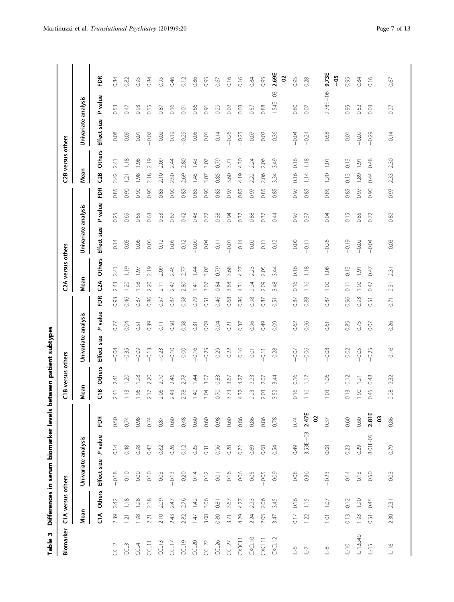<span id="page-6-0"></span>

| m<br>Table        |                  |                   | Differences in serum biomarker levels |                       |                        |                |                   | between patient subtypes |         |      |                          |         |                                        |      |                |                    |                       |                       |             |
|-------------------|------------------|-------------------|---------------------------------------|-----------------------|------------------------|----------------|-------------------|--------------------------|---------|------|--------------------------|---------|----------------------------------------|------|----------------|--------------------|-----------------------|-----------------------|-------------|
| Biomarker         |                  | C1A versus others |                                       |                       |                        |                | C1B versus others |                          |         |      | C2A versus others        |         |                                        |      |                | C2B versus others  |                       |                       |             |
|                   | Mean             |                   | Univariate analysis                   |                       |                        | Mean           |                   | Univariate analysis      |         |      | Mean                     |         | Univariate analysis                    |      | Mean           |                    | Univariate analysis   |                       |             |
|                   | ິ⊂໌              | Others            | Effect size                           | value<br>$\mathbf{a}$ | Ě                      | Ξ              | <b>Others</b>     | size<br>Effect:          | P value | Ĕ    | <b>Others</b><br>g       |         | value<br>$\overline{a}$<br>Effect size | Ě    | C <sub>8</sub> | <b>Others</b>      | size<br><b>Effect</b> | value<br>$\mathbf{a}$ | ΕĎ          |
| CCL <sub>2</sub>  | 2.39             | 2.42              | $-0.18$                               | 0.14                  | 0.50                   | 2.41           | 2.41              | $-0.04$                  | 0.77    | 0.93 | 2.41<br>2.43             | 0.14    | 0.25                                   | 0.85 | 2.42           | 2.41               | 0.08                  | 0.53                  | 0.84        |
| CCL3              | 121              | 1.18              | 0.10                                  | 0.48                  | 0.74                   | 1.13           | 1.20              | $-0.35$                  | 0.04    | 0.46 | 1.19<br>1.20             | 0.05    | 0.69                                   | 0.90 | 1.21           | 1.18               | 0.09                  | 0.47                  | 0.82        |
| CCL4              | 1.98             | 1.98              | 0.00                                  | 0.98                  | 0.98                   | 1.96           | 1.98              | $-0.09$                  | 0.51    | 0.87 | 1.97<br>1.98             | 0.06    | 0.65                                   | 0.90 | 1.98           | 1.98               | 0.01                  | 0.93                  | 0.95        |
| <b>CCLIT</b>      | 2.21             | 2.18              | 0.10                                  | 0.42                  | 0.74                   | 2.17           | 2.20              | $-0.13$                  | 0.39    | 0.86 | 2.19<br>2.20             | 0.06    | 0.63                                   | 0.90 | 2.18           | 2.19               | $-0.07$               | 0.55                  | 0.84        |
| CCL13             | 2.10             | 2.09              | 0.03                                  | 0.82                  | 0.87                   | 2.06           | 2.10              | $-0.23$                  | 0.11    | 0.57 | 2.09<br>211              | 0.12    | 0.33                                   | 0.85 | 2.10           | 2.09               | 0.02                  | 0.87                  | 0.95        |
| CCL17             | 2.43             | 2.47              | $-0.13$                               | 0.26                  | 0.60                   | 2.43           | 2.46              | $-0.10$                  | 0.50    | 0.87 | 2.45<br>247              | 0.05    | 0.67                                   | 0.90 | 2.50           | 2.44               | 0.19                  | 0.16                  | 0.46        |
| CCL19             | 2.82             | 2.76              | 0.20                                  | 0.12                  | 0.48                   | 2.78           | 2.78              | 0.00                     | 0.98    | 0.98 | 2.77<br>2.80             | 0.12    | 0.42                                   | 0.85 | 2.69           | 2.80               | $-0.29$               | 0.01                  | 0.12        |
| CCL20             | 1.47             | 1.42              | 0.14                                  | 0.25                  | 0.60                   | $\frac{40}{5}$ | 1.44              | $-0.16$                  | 0.31    | 0.79 | 1.44<br>141              | $-0.09$ | 0.48                                   | 0.85 | 1.45           | 1.43               | 0.05                  | 0.66                  | 0.86        |
| CCL22             | 3.08             | 3.06              | 0.12                                  | 0.31                  | 0.60                   | 3.04           | 3.07              | $-0.25$                  | 0.09    | 0.51 | 3.07<br>3.07             | 0.04    | 0.72                                   | 0.90 | 3.07           | 3.07               | 0.01                  | 0.91                  | 0.95        |
| CCL26             | 0.80             | 0.81              | $-0.01$                               | 0.96                  | 0.98                   | 0.70           | 0.83              | $-0.29$                  | 0.04    | 0.46 | 0.79<br>0.84             | 0.11    | 0.38                                   | 0.85 | 0.85           | 0.79               | 0.14                  | 0.29                  | 0.67        |
| CCL <sub>27</sub> | 3.71             | 3.67              | 0.16                                  | 0.28                  | 0.60                   | 3.73           | 3.67              | 0.22                     | 0.21    | 0.68 | 3.68<br>3.68             | $-0.01$ | 0.94                                   | 0.97 | 3.60           | 3.71               | $-0.26$               | 0.02                  | 0.16        |
| CX3CL1            | 4.29             | 4.27              | 0.06                                  | 0.72                  | 0.86                   | 4.32           | 4.27              | 0.16                     | 0.37    | 0.86 | 4.27<br>431              | 0.14    | 0.37                                   | 0.85 | 4.19           | 430                | $-0.25$               | 0.03                  | 0.16        |
| CXCL10            | 2.24             | 2.23              | 0.05                                  | 0.69                  | 0.86                   | 2.23           | 2.23              | $-0.01$                  | 0.96    | 0.98 | 2.23<br>2.24             | 0.02    | 0.88                                   | 0.97 | 2.22           | 2.24               | $-0.07$               | 0.57                  | 0.84        |
| CXCL11            | 2.05             | 2.06              | $-0.05$                               | 0.68                  | 0.86                   | 2.03           | 2.07              | $-0.11$                  | 0.49    | 0.87 | 2.05<br>2.09             | 0.11    | 0.37                                   | 0.85 | 2.06           | 2.06               | $0.02\,$              | 0.88                  | 0.95        |
| CXCL12            | 3.47             | 3.45              | 0.09                                  | 0.54                  | 0.78                   | 3.52           | 3.44              | 0.28                     | 0.09    | 0.51 | 3.44<br>3.48             | 0.12    | 0.44                                   | 0.85 | 3.34           | 3.49               | $-0.36$               | $1.54E - 03$          | 2.69E<br>ຸອ |
| $\theta$ -        | 0.17             | 0.16              | 0.08                                  | 0.49                  | 0.74                   | 0.16           | 0.16              | $-0.07$                  | 0.62    | 0.87 | 0.16<br>0.16             | 0.00    | 0.97                                   | 0.97 | 0.16           | 0.16               | $-0.04$               | 0.80                  | 0.95        |
| $L - 7$           | 1.22             | 1.15              | 0.36                                  | $3.53E - 03$          | 2.47E<br>$\frac{5}{2}$ | 1.16           | $1.17\,$          | $-0.06$                  | 0.66    | 0.88 | 1.18<br>116              | $-0.11$ | 0.37                                   | 0.85 | 1.14           | 1.18               | $-0.24$               | 0.07                  | 0.28        |
| $1 - 8$           | $\overline{0}$ . | 1.07              | $-0.23$                               | 0.08                  | 0.37                   | 1.03           | 1.06              | $-0.08$                  | 0.61    | 0.87 | 1.08<br>0.00             | $-0.26$ | 0.04                                   | 0.85 | 1.20           | $\overline{1}$ .01 | 0.58                  | 2.78E-06              | 9.73E<br>နိ |
| $\frac{1}{2}$     | 0.13             | 0.12              | 0.14                                  | 0.23                  | 0.60                   | 0.13           | 0.12              | 0.02                     | 0.85    | 0.96 | 0.13<br>$\overline{0}$ . | $-0.19$ | 0.15                                   | 0.85 | 0.13           | 0.13               | 0.01                  | 0.95                  | 0.95        |
| IL-12p40          | 1.93             | 1.90              | 0.13                                  | 0.29                  | 0.60                   | 1.90           | 1.91              | $-0.05$                  | 0.75    | 0.93 | 1.91<br>1.90             | $-0.02$ | 0.85                                   | 0.97 | 1.89           | 1.91               | $-0.09$               | 0.52                  | 0.84        |
| $L-15$            | 0.51             | 0.45              | 0.50                                  | 8.01 E-05             | 2.81E<br>ဒို           | 0.45           | 0.48              | $-0.25$                  | 0.07    | 0.51 | 0.47<br>0.47             | $-0.04$ | 0.72                                   | 0.90 | 0.44           | 0.48               | $-0.29$               | 0.03                  | 0.16        |
| $\frac{1}{2}$     | 2.30             | 231               | $-0.03$                               | 0.79                  | 0.86                   | 2.28           | 2.32              | $-0.16$                  | 0.26    | 0.71 | 231<br>231               | 0.03    | 0.82                                   | 0.97 | 2.33           | 2.30               | 0.14                  | 0.27                  | 0.67        |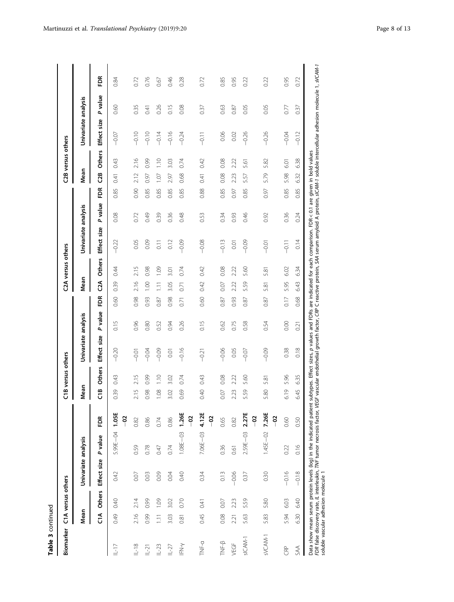| m<br>ω |
|--------|
| Ξ      |
|        |

| Biomarker                            |         | C1A versus others |                     |              |                   |                       | C1B versus others |                                                                                                                                                                                    |         |      | C2A versus others          |                     |         |          | C2B versus others           |                                                                                                                                                                                                                               |         |      |
|--------------------------------------|---------|-------------------|---------------------|--------------|-------------------|-----------------------|-------------------|------------------------------------------------------------------------------------------------------------------------------------------------------------------------------------|---------|------|----------------------------|---------------------|---------|----------|-----------------------------|-------------------------------------------------------------------------------------------------------------------------------------------------------------------------------------------------------------------------------|---------|------|
|                                      | Mean    |                   | Univariate analysis |              |                   | Mean                  |                   | Univariate analysis                                                                                                                                                                |         |      | Mean                       | Univariate analysis |         |          | Mean                        | Univariate analysis                                                                                                                                                                                                           |         |      |
|                                      | ร<br>บิ | <b>Others</b>     | Effect size         | P value      | FDR               | ە<br>ت                | <b>Others</b>     | Effect size                                                                                                                                                                        | P value | FDR  | <b>Others</b><br><b>ដឹ</b> | Effect size         | P value | FDR<br>E | <b>Others</b><br><u>ප</u> ි | Effect size                                                                                                                                                                                                                   | P value | Ě    |
| $L-17$                               | 0.49    | 0.40              | 0.42                | 5.99E-04     | 1.05E<br>ခု       | 0.39                  | 0.43              | $-0.20$                                                                                                                                                                            | 0.15    | 0.60 | 0.44<br>0.39               | $-0.22$             | 0.08    | 0.85     | 0.43<br>0.41                | $-0.07$                                                                                                                                                                                                                       | 0.60    | 0.84 |
| $L-18$                               | 2.16    | 2.14              | 0.07                | 0.59         | 0.82              | 2.15                  | 2.15              | $-0.01$                                                                                                                                                                            | 0.96    | 0.98 | 2.15<br>2.16               | 0.05                | 0.72    | 0.90     | 2.16<br>2.12                | $-0.10$                                                                                                                                                                                                                       | 0.35    | 0.72 |
| $L-21$                               | 0.99    | 0.99              | 0.03                | 0.78         | 0.86              | 0.98                  | 0.99              | $-0.04$                                                                                                                                                                            | 0.80    | 0.93 | 0.98<br>001                | 0.09                | 0.49    | 0.85     | 0.99<br>0.97                | $-0.10$                                                                                                                                                                                                                       | 0.41    | 0.76 |
| $L-23$                               | 1.11    | 1.09              | 0.09                | 0.47         | 0.74              | 0.08                  | $\frac{1}{1}$     | $-0.09$                                                                                                                                                                            | 0.52    | 0.87 | 1.09<br>1.11               | $\overline{0}$ .    | 0.39    | 0.85     | $\frac{1}{10}$<br>1.07      | $-0.14$                                                                                                                                                                                                                       | 0.26    | 0.67 |
| $L-27$                               | 3.03    | 3.02              | 0.04                | 0.74         | 0.86              | 3.02                  | 3.02              | 0.01                                                                                                                                                                               | 0.94    | 0.98 | 3.01<br>3.05               | 0.12                | 0.36    | 0.85     | 3.03<br>2.97                | $-0.16$                                                                                                                                                                                                                       | 0.15    | 0.46 |
| IFN-y                                | 0.81    | 0.70              | 0.40                | $1.08E - 03$ | 1.26E<br><u>၁</u> | 0.69                  | 0.74              | $-0.16$                                                                                                                                                                            | 0.26    | 0.71 | 0.74<br>0.71               | $-0.09$             | 0.48    | 0.85     | 0.74<br>0.68                | $-0.24$                                                                                                                                                                                                                       | 0.08    | 0.28 |
| TNF-a                                | 0.45    | 0.41              | 0.34                | 7.06E-03     | 4.12E<br>ခု       | 0.40                  | 0.43              | $-0.21$                                                                                                                                                                            | 0.15    | 0.60 | 0.42<br>0.42               | $-0.08$             | 0.53    | 0.88     | 0.42<br>0.41                | $-0.11$                                                                                                                                                                                                                       | 0.37    | 0.72 |
| TNF-B                                | 0.08    | 0.07              | 0.13                | 0.36         | 0.65              | 0.07                  | 0.08              | $-0.06$                                                                                                                                                                            | 0.62    | 0.87 | 0.08<br>0.07               | $-0.13$             | 0.34    | 0.85     | 0.08<br>0.08                | 0.06                                                                                                                                                                                                                          | 0.63    | 0.85 |
| VEGF                                 | 2.21    | 2.23              | $-0.06$             | 0.61         | 0.82              | 2.23                  | 2.22              | 0.05                                                                                                                                                                               | 0.75    | 0.93 | 2.22<br>2.22               | 0.01                | 0.93    | 0.97     | 2.22<br>2.23                | 0.02                                                                                                                                                                                                                          | 0.87    | 0.95 |
| sICAM-1                              | 5.63    | 5.59              | 0.37                | 2.59E-03     | 2.27E<br>ခု       | SS.<br>$\overline{5}$ | 5.60              | $-0.07$                                                                                                                                                                            | 0.58    | 0.87 | 5.60<br>5.59               | $-0.09$             | 0.46    | 0.85     | 5.61<br>5.57                | $-0.26$                                                                                                                                                                                                                       | 0.05    | 0.22 |
| sVCAM-1                              | 5.83    | 5.80              | 0.30                | $1.45E - 02$ | 7.26E<br>ခု       | 5.80                  | 5.81              | $-0.09$                                                                                                                                                                            | 0.54    | 0.87 | 5.81<br>5.81               | $-0.01$             | 0.92    | 0.97     | 5.82<br>5.79                | $-0.26$                                                                                                                                                                                                                       | 0.05    | 0.22 |
| GRP                                  | 5.94    | 6.03              | $-0.16$             | 0.22         | 0.60              | 6.19                  | 5.96              | 0.38                                                                                                                                                                               | 0.00    | 0.17 | 6.02<br>5.95               | $-0.11$             | 0.36    | 0.85     | 6.01<br>5.98                | $-0.04$                                                                                                                                                                                                                       | 0.77    | 0.95 |
| SAA                                  | 6.30    | 6.40              | $-0.18$             | 0.16         | 0.50              | 6.45                  | 6.35              | 0.18                                                                                                                                                                               | 0.21    | 0.68 | 6.34<br>643                | 0.14                | 0.24    | 0.85     | 6.38<br>6.32                | $-0.12$                                                                                                                                                                                                                       | 0.37    | 0.72 |
| soluble vascular adhesion molecule 1 |         |                   |                     |              |                   |                       |                   | Data show mean serum protein levels (log) in the indicated patient subtypes. Effect sizes, p values and FDRs are indicated for each comparison. FDR < 0.1 are given in bold values |         |      |                            |                     |         |          |                             | FDR false discovery rate, /L interleukin, TWF tumor necrosis factor, VEGF vascular endothelial growth factor, CRP C reactive protein, SAA serum amyloid A protein, s/CAM-1 soluble intercellular adhesion molecule 1, sVCAM-1 |         |      |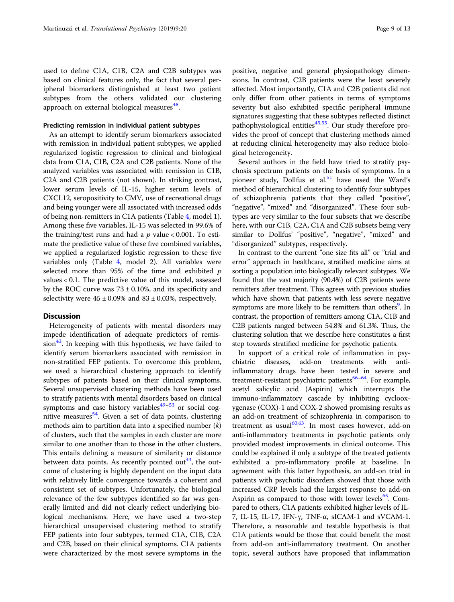used to define C1A, C1B, C2A and C2B subtypes was based on clinical features only, the fact that several peripheral biomarkers distinguished at least two patient subtypes from the others validated our clustering approach on external biological measures<sup>[48](#page-11-0)</sup>.

# Predicting remission in individual patient subtypes

As an attempt to identify serum biomarkers associated with remission in individual patient subtypes, we applied regularized logistic regression to clinical and biological data from C1A, C1B, C2A and C2B patients. None of the analyzed variables was associated with remission in C1B, C2A and C2B patients (not shown). In striking contrast, lower serum levels of IL-15, higher serum levels of CXCL12, seropositivity to CMV, use of recreational drugs and being younger were all associated with increased odds of being non-remitters in C1A patients (Table [4](#page-9-0), model 1). Among these five variables, IL-15 was selected in 99.6% of the training/test runs and had a  $p$  value < 0.001. To estimate the predictive value of these five combined variables, we applied a regularized logistic regression to these five variables only (Table [4,](#page-9-0) model 2). All variables were selected more than 95% of the time and exhibited  $p$ values < 0.1. The predictive value of this model, assessed by the ROC curve was  $73 \pm 0.10$ %, and its specificity and selectivity were  $45 \pm 0.09\%$  and  $83 \pm 0.03\%$ , respectively.

# **Discussion**

Heterogeneity of patients with mental disorders may impede identification of adequate predictors of remis $sion<sup>43</sup>$ . In keeping with this hypothesis, we have failed to identify serum biomarkers associated with remission in non-stratified FEP patients. To overcome this problem, we used a hierarchical clustering approach to identify subtypes of patients based on their clinical symptoms. Several unsupervised clustering methods have been used to stratify patients with mental disorders based on clinical symptoms and case history variables $49-53$  $49-53$  $49-53$  or social cognitive measures $54$ . Given a set of data points, clustering methods aim to partition data into a specified number  $(k)$ of clusters, such that the samples in each cluster are more similar to one another than to those in the other clusters. This entails defining a measure of similarity or distance between data points. As recently pointed out<sup>[43](#page-11-0)</sup>, the outcome of clustering is highly dependent on the input data with relatively little convergence towards a coherent and consistent set of subtypes. Unfortunately, the biological relevance of the few subtypes identified so far was generally limited and did not clearly reflect underlying biological mechanisms. Here, we have used a two-step hierarchical unsupervised clustering method to stratify FEP patients into four subtypes, termed C1A, C1B, C2A and C2B, based on their clinical symptoms. C1A patients were characterized by the most severe symptoms in the

positive, negative and general physiopathology dimensions. In contrast, C2B patients were the least severely affected. Most importantly, C1A and C2B patients did not only differ from other patients in terms of symptoms severity but also exhibited specific peripheral immune signatures suggesting that these subtypes reflected distinct pathophysiological entities $45,55$ . Our study therefore provides the proof of concept that clustering methods aimed at reducing clinical heterogeneity may also reduce biological heterogeneity.

Several authors in the field have tried to stratify psychosis spectrum patients on the basis of symptoms. In a pioneer study, Dollfus et al.<sup>[51](#page-11-0)</sup> have used the Ward's method of hierarchical clustering to identify four subtypes of schizophrenia patients that they called "positive", "negative", "mixed" and "disorganized". These four subtypes are very similar to the four subsets that we describe here, with our C1B, C2A, C1A and C2B subsets being very similar to Dollfus' "positive", "negative", "mixed" and "disorganized" subtypes, respectively.

In contrast to the current "one size fits all" or "trial and error" approach in healthcare, stratified medicine aims at sorting a population into biologically relevant subtypes. We found that the vast majority (90.4%) of C2B patients were remitters after treatment. This agrees with previous studies which have shown that patients with less severe negative symptoms are more likely to be remitters than others<sup>9</sup>. In contrast, the proportion of remitters among C1A, C1B and C2B patients ranged between 54.8% and 61.3%. Thus, the clustering solution that we describe here constitutes a first step towards stratified medicine for psychotic patients.

In support of a critical role of inflammation in psychiatric diseases, add-on treatments with antiinflammatory drugs have been tested in severe and treatment-resistant psychiatric patients<sup>56-[64](#page-12-0)</sup>. For example, acetyl salicylic acid (Aspirin) which interrupts the immuno-inflammatory cascade by inhibiting cyclooxygenase (COX)-1 and COX-2 showed promising results as an add-on treatment of schizophrenia in comparison to treatment as usual $60,63$  $60,63$ . In most cases however, add-on anti-inflammatory treatments in psychotic patients only provided modest improvements in clinical outcome. This could be explained if only a subtype of the treated patients exhibited a pro-inflammatory profile at baseline. In agreement with this latter hypothesis, an add-on trial in patients with psychotic disorders showed that those with increased CRP levels had the largest response to add-on Aspirin as compared to those with lower levels<sup>65</sup>. Compared to others, C1A patients exhibited higher levels of IL-7, IL-15, IL-17, IFN-γ, TNF-α, sICAM-1 and sVCAM-1. Therefore, a reasonable and testable hypothesis is that C1A patients would be those that could benefit the most from add-on anti-inflammatory treatment. On another topic, several authors have proposed that inflammation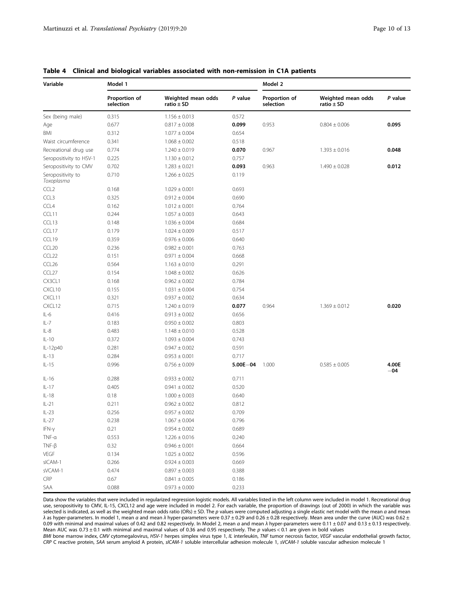| Variable                        | Model 1                    |                                      |              | Model 2                    |                                      |                |
|---------------------------------|----------------------------|--------------------------------------|--------------|----------------------------|--------------------------------------|----------------|
|                                 | Proportion of<br>selection | Weighted mean odds<br>ratio $\pm$ SD | P value      | Proportion of<br>selection | Weighted mean odds<br>ratio $\pm$ SD | P value        |
| Sex (being male)                | 0.315                      | $1.156 \pm 0.013$                    | 0.572        |                            |                                      |                |
| Age                             | 0.677                      | $0.817 \pm 0.008$                    | 0.099        | 0.953                      | $0.804 \pm 0.006$                    | 0.095          |
| BMI                             | 0.312                      | $1.077 \pm 0.004$                    | 0.654        |                            |                                      |                |
| Waist circumference             | 0.341                      | $1.068 \pm 0.002$                    | 0.518        |                            |                                      |                |
| Recreational drug use           | 0.774                      | $1.240 \pm 0.019$                    | 0.070        | 0.967                      | $1.393 \pm 0.016$                    | 0.048          |
| Seropositivity to HSV-1         | 0.225                      | $1.130 \pm 0.012$                    | 0.757        |                            |                                      |                |
| Seropositivity to CMV           | 0.702                      | $1.283 \pm 0.021$                    | 0.093        | 0.963                      | $1.490 \pm 0.028$                    | 0.012          |
| Seropositivity to<br>Toxoplasma | 0.710                      | $1.266 \pm 0.025$                    | 0.119        |                            |                                      |                |
| CCL <sub>2</sub>                | 0.168                      | $1.029 \pm 0.001$                    | 0.693        |                            |                                      |                |
| CCL <sub>3</sub>                | 0.325                      | $0.912 \pm 0.004$                    | 0.690        |                            |                                      |                |
| CCL4                            | 0.162                      | $1.012 \pm 0.001$                    | 0.764        |                            |                                      |                |
| CCL11                           | 0.244                      | $1.057 \pm 0.003$                    | 0.643        |                            |                                      |                |
| CCL13                           | 0.148                      | $1.036 \pm 0.004$                    | 0.684        |                            |                                      |                |
| CCL17                           | 0.179                      | $1.024 \pm 0.009$                    | 0.517        |                            |                                      |                |
| CCL19                           | 0.359                      | $0.976 \pm 0.006$                    | 0.640        |                            |                                      |                |
| CCL <sub>20</sub>               | 0.236                      | $0.982 \pm 0.001$                    | 0.763        |                            |                                      |                |
| CCL <sub>22</sub>               | 0.151                      | $0.971 \pm 0.004$                    | 0.668        |                            |                                      |                |
| CCL <sub>26</sub>               | 0.564                      | $1.163 \pm 0.010$                    | 0.291        |                            |                                      |                |
| CCL27                           | 0.154                      | $1.048 \pm 0.002$                    | 0.626        |                            |                                      |                |
| CX3CL1                          | 0.168                      | $0.962 \pm 0.002$                    | 0.784        |                            |                                      |                |
| CXCL10                          | 0.155                      | $1.031 \pm 0.004$                    | 0.754        |                            |                                      |                |
| CXCL11                          | 0.321                      | $0.937 \pm 0.002$                    | 0.634        |                            |                                      |                |
| CXCL12                          | 0.715                      | $1.240 \pm 0.019$                    | 0.077        | 0.964                      | $1.369 \pm 0.012$                    | 0.020          |
| $IL-6$                          | 0.416                      | $0.913 \pm 0.002$                    | 0.656        |                            |                                      |                |
| $IL - 7$                        | 0.183                      | $0.950 \pm 0.002$                    | 0.803        |                            |                                      |                |
| $IL-8$                          | 0.483                      | $1.148 \pm 0.010$                    | 0.528        |                            |                                      |                |
| $IL-10$                         | 0.372                      | $1.093 \pm 0.004$                    | 0.743        |                            |                                      |                |
| IL-12p40                        | 0.281                      | $0.947 \pm 0.002$                    | 0.591        |                            |                                      |                |
| $IL-13$                         | 0.284                      | $0.953 \pm 0.001$                    | 0.717        |                            |                                      |                |
| $IL-15$                         | 0.996                      | $0.756 \pm 0.009$                    | $5.00E - 04$ | 1.000                      | $0.585 \pm 0.005$                    | 4.00E<br>$-04$ |
| $IL-16$                         | 0.288                      | $0.933 \pm 0.002$                    | 0.711        |                            |                                      |                |
| $IL-17$                         | 0.405                      | $0.941 \pm 0.002$                    | 0.520        |                            |                                      |                |
| $IL-18$                         | 0.18                       | $1.000 \pm 0.003$                    | 0.640        |                            |                                      |                |
| $IL-21$                         | 0.211                      | $0.962 \pm 0.002$                    | 0.812        |                            |                                      |                |
| $IL-23$                         | 0.256                      | $0.957 \pm 0.002$                    | 0.709        |                            |                                      |                |
| $IL-27$                         | 0.238                      | $1.067 \pm 0.004$                    | 0.796        |                            |                                      |                |
| IFN-y                           | 0.21                       | $0.954 \pm 0.002$                    | 0.689        |                            |                                      |                |
| $TNF-\alpha$                    | 0.553                      | $1.226 \pm 0.016$                    | 0.240        |                            |                                      |                |
| $TNF-\beta$                     | 0.32                       | $0.946 \pm 0.001$                    | 0.664        |                            |                                      |                |
| <b>VEGF</b>                     | 0.134                      | $1.025 \pm 0.002$                    | 0.596        |                            |                                      |                |
| sICAM-1                         | 0.266                      | $0.924 \pm 0.003$                    | 0.669        |                            |                                      |                |
| sVCAM-1                         | 0.474                      | $0.897 \pm 0.003$                    | 0.388        |                            |                                      |                |
| CRP                             | 0.67                       | $0.841 \pm 0.005$                    | 0.186        |                            |                                      |                |
| SAA                             | 0.088                      | $0.973 \pm 0.000$                    | 0.233        |                            |                                      |                |

# <span id="page-9-0"></span>Table 4 Clinical and biological variables associated with non-remission in C1A patients

Data show the variables that were included in regularized regression logistic models. All variables listed in the left column were included in model 1. Recreational drug use, seropositivity to CMV, IL-15, CXCL12 and age were included in model 2. For each variable, the proportion of drawings (out of 2000) in which the variable was selected is indicated, as well as the weighted mean odds ratio (ORs)  $\pm$  SD. The p values were computed adjusting a single elastic net model with the mean  $\alpha$  and mean λ as hyper-parameters. In model 1, mean α and mean λ hyper-parameters were 0.37 ± 0.29 and 0.26 ± 0.28 respectively. Mean area under the curve (AUC) was 0.62 ± 0.09 with minimal and maximal values of 0.42 and 0.82 respectively. In Model 2, mean α and mean λ hyper-parameters were 0.11 ± 0.07 and 0.13 ± 0.13 respectively. Mean AUC was 0.73  $\pm$  0.1 with minimal and maximal values of 0.36 and 0.95 respectively. The p values < 0.1 are given in bold values

BMI bone marrow index, CMV cytomegalovirus, HSV-1 herpes simplex virus type 1, IL interleukin, TNF tumor necrosis factor, VEGF vascular endothelial growth factor,<br>CRP C reactive protein, SAA serum amyloid A protein, sICAM-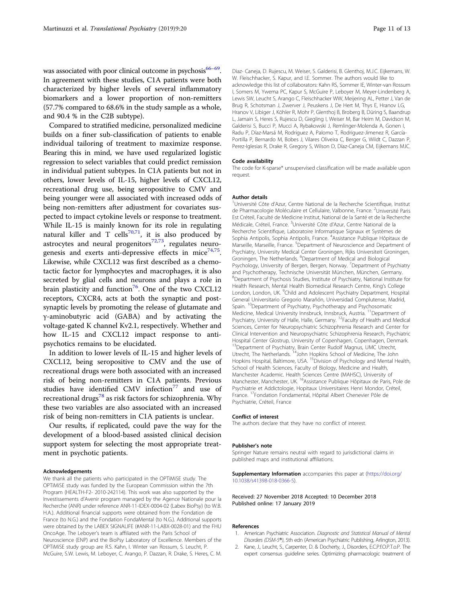<span id="page-10-0"></span>was associated with poor clinical outcome in psychosis $66-69$  $66-69$ . In agreement with these studies, C1A patients were both characterized by higher levels of several inflammatory biomarkers and a lower proportion of non-remitters (57.7% compared to 68.6% in the study sample as a whole, and 90.4 % in the C2B subtype).

Compared to stratified medicine, personalized medicine builds on a finer sub-classification of patients to enable individual tailoring of treatment to maximize response. Bearing this in mind, we have used regularized logistic regression to select variables that could predict remission in individual patient subtypes. In C1A patients but not in others, lower levels of IL-15, higher levels of CXCL12, recreational drug use, being seropositive to CMV and being younger were all associated with increased odds of being non-remitters after adjustment for covariates suspected to impact cytokine levels or response to treatment. While IL-15 is mainly known for its role in regulating natural killer and T cells<sup>[70](#page-12-0),[71](#page-12-0)</sup>, it is also produced by astrocytes and neural progenitors $72,73$  $72,73$ , regulates neuro-genesis and exerts anti-depressive effects in mice<sup>[74,75](#page-12-0)</sup>. Likewise, while CXCL12 was first described as a chemotactic factor for lymphocytes and macrophages, it is also secreted by glial cells and neurons and plays a role in brain plasticity and function<sup>[76](#page-12-0)</sup>. One of the two CXCL12 receptors, CXCR4, acts at both the synaptic and postsynaptic levels by promoting the release of glutamate and γ-aminobutyric acid (GABA) and by activating the voltage-gated K channel Kv2.1, respectively. Whether and how IL-15 and CXCL12 impact response to antipsychotics remains to be elucidated.

In addition to lower levels of IL-15 and higher levels of CXCL12, being seropositive to CMV and the use of recreational drugs were both associated with an increased risk of being non-remitters in C1A patients. Previous studies have identified CMV infection<sup>[77](#page-12-0)</sup> and use of recreational drugs<sup>[78](#page-12-0)</sup> as risk factors for schizophrenia. Why these two variables are also associated with an increased risk of being non-remitters in C1A patients is unclear.

Our results, if replicated, could pave the way for the development of a blood-based assisted clinical decision support system for selecting the most appropriate treatment in psychotic patients.

### Acknowledgements

We thank all the patients who participated in the OPTiMiSE study. The OPTiMiSE study was funded by the European Commission within the 7th Program (HEALTH-F2- 2010-242114). This work was also supported by the Investissements d'Avenir program managed by the Agence Nationale pour la Recherche (ANR) under reference ANR-11-IDEX-0004-02 (Labex BioPsy) (to W.B. H.A.). Additional financial supports were obtained from the Fondation de France (to N.G.) and the Fondation FondaMental (to N.G.). Additional supports were obtained by the LABEX SIGNALIFE (#ANR-11-LABX-0028-01) and the FHU OncoAge. The Leboyer's team is affiliated with the Paris School of Neuroscience (ENP) and the BioPsy Laboratory of Excellence. Members of the OPTiMiSE study group are R.S. Kahn, I. Winter van Rossum, S. Leucht, P. McGuire, S.W. Lewis, M. Leboyer, C. Arango, P. Dazzan, R. Drake, S. Heres, C. M. Diaz- Caneja, D. Rujescu, M. Weiser, S. Galderisi, B. Glenthoj, M.J.C. Eijkemans, W. W. Fleischhacker, S. Kapur, and I.E. Sommer. The authors would like to acknowledge this list of collaborators: Kahn RS, Sommer IE, Winter-van Rossum I, Somers M, Ywema PC, Kapur S, McGuire P, Leboyer M, Meyer-Lindenberg A, Lewis SW, Leucht S, Arango C, Fleischhacker WW, Meijering AL, Petter J, Van de Brug R, Schotsman J, Zwerver J, Peuskens J, De Hert M, Thys E, Hranov LG, Hranov V, Libiger J, Köhler R, Mohr P, Glenthoj B, Broberg B, Düring S, Baandrup L, Jamain S, Heres S, Rujescu D, Giegling I, Weiser M, Bar Heim M, Davidson M, Galderisi S, Bucci P, Mucci A, Rybakowski J, Remlinger-Molenda A, Gonen I, Radu P, Díaz-Marsá M, Rodriguez A, Palomo T, Rodriguez-Jimenez R, García-Portilla P, Bernardo M, Bobes J, Vilares Oliveira C, Berger G, Wildt C, Dazzan P, Perez-Iglesias R, Drake R, Gregory S, Wilson D, Díaz-Caneja CM, Eijkemans MJC.

### Code availability

The code for K-sparse\* unsupervised classification will be made available upon request.

#### Author details

<sup>1</sup>Université Côte d'Azur, Centre National de la Recherche Scientifique, Institut de Pharmacologie Moléculaire et Cellulaire, Valbonne, France. <sup>2</sup>Université Paris Est Créteil, Faculté de Medicine Institut, National de la Santé et de la Recherche Médicale, Créteil, France. <sup>3</sup>Université Côte d'Azur, Centre National de la Recherche Scientifique, Laboratoire Informatique Signaux et Systèmes de Sophia Antipolis, Sophia Antipolis, France. <sup>4</sup>Assistance Publique Hôpitaux de Marseille, Marseille, France. <sup>5</sup>Department of Neuroscience and Department of Psychiatry, University Medical Center Groningen, Rijks Universiteit Groningen, Groningen, The Netherlands. <sup>6</sup>Department of Medical and Biological Psychology, University of Bergen, Bergen, Norway. <sup>7</sup>Department of Psychiatry and Psychotherapy, Technische Universität München, München, Germany. 8 Department of Psychosis Studies, Institute of Psychiatry, National Institute for Health Research, Mental Health Biomedical Research Centre, King's College London, London, UK. <sup>9</sup>Child and Adolescent Psychiatry Department, Hospital General Universitario Gregorio Marañón, Universidad Complutense, Madrid, Spain. <sup>10</sup>Department of Psychiatry, Psychotherapy and Psychosomatic Medicine, Medical University Innsbruck, Innsbruck, Austria. <sup>11</sup>Department of Psychiatry, University of Halle, Halle, Germany. <sup>12</sup>Faculty of Health and Medical Sciences, Center for Neuropsychiatric Schizophrenia Research and Center for Clinical Intervention and Neuropsychiatric Schizophrenia Research, Psychiatric Hospital Center Glostrup, University of Copenhagen, Copenhagen, Denmark. <sup>13</sup>Department of Psychiatry, Brain Center Rudolf Magnus, UMC Utrecht, Utrecht, The Netherlands. <sup>14</sup>John Hopkins School of Medicine, The John Hopkins Hospital, Baltimore, USA. <sup>15</sup>Division of Psychology and Mental Health School of Health Sciences, Faculty of Biology, Medicine and Health, Manchester Academic. Health Sciences Centre (MAHSC), University of Manchester, Manchester, UK. <sup>16</sup>Assistance Publique Hôpitaux de Paris, Pole de Psychiatrie et Addictologie, Hopitaux Universitaires Henri Mondor, Créteil, France. 17Fondation Fondamental, Hôpital Albert Chenevier Pôle de Psychiatrie, Créteil, France

#### Conflict of interest

The authors declare that they have no conflict of interest.

#### Publisher's note

Springer Nature remains neutral with regard to jurisdictional claims in published maps and institutional affiliations.

Supplementary Information accompanies this paper at ([https://doi.org/](https://doi.org/10.1038/s41398-018-0366-5) [10.1038/s41398-018-0366-5\)](https://doi.org/10.1038/s41398-018-0366-5).

# Received: 27 November 2018 Accepted: 10 December 2018 Published online: 17 January 2019

#### References

- 1. American Psychiatric Association. Diagnostic and Statistical Manual of Mental Disorders (DSM-5®), 5th edn (American Psychiatric Publishing, Arlington, 2013).
- 2. Kane, J., Leucht, S., Carpenter, D. & Docherty, J., Disorders, E.C.P.f.O.P.T.o.P. The expert consensus guideline series. Optimizing pharmacologic treatment of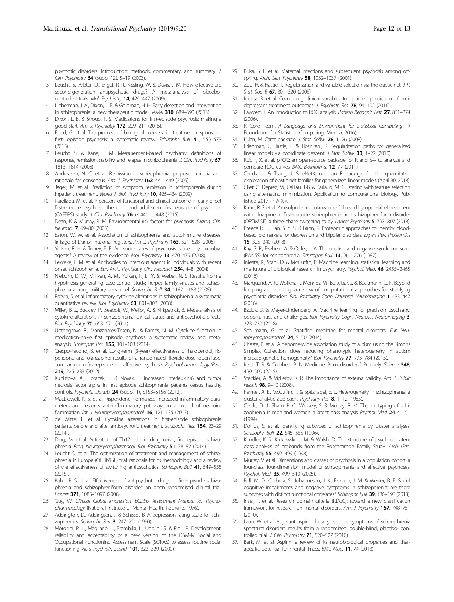<span id="page-11-0"></span>psychotic disorders. Introduction: methods, commentary, and summary. J. Clin. Psychiatry 64 (Suppl 12), 5-19 (2003).

- 3. Leucht, S., Arbter, D., Engel, R. R., Kissling, W. & Davis, J. M. How effective are second-generation antipsychotic drugs? A meta-analysis of placebocontrolled trials. Mol. Psychiatry 14, 429–447 (2009).
- 4. Lieberman, J. A., Dixon, L. B. & Goldman, H. H. Early detection and intervention in schizophrenia: a new therapeutic model. JAMA 310, 689-690 (2013).
- 5. Dixon, L. B. & Stroup, T. S. Medications for first-episode psychosis: making a good start. Am. J. Psychiatry 172, 209–211 (2015).
- 6. Fond, G. et al. The promise of biological markers for treatment response in first- episode psychosis: a systematic review. Schizophr. Bull. 41, 559–573 (2015).
- 7. Leucht, S. & Kane, J. M. Measurement-based psychiatry: definitions of response, remission, stability, and relapse in schizophrenia. J. Clin. Psychiatry 67, 1813–1814 (2006).
- 8. Andreasen, N. C. et al. Remission in schizophrenia: proposed criteria and rationale for consensus. Am. J. Psychiatry 162, 441–449 (2005).
- Jager, M. et al. Prediction of symptom remission in schizophrenia during inpatient treatment. World J. Biol. Psychiatry 10, 426–434 (2009).
- 10. Parellada, M. et al. Predictors of functional and clinical outcome in early-onset first-episode psychosis: the child and adolescent first episode of psychosis (CAFEPS) study. J. Clin. Psychiatry 76, e1441–e1448 (2015).
- 11. Dean, K. & Murray, R. M. Environmental risk factors for psychosis. Dialog. Clin. Neurosci. 7, 69–80 (2005).
- 12. Eaton, W. W. et al. Association of schizophrenia and autoimmune diseases: linkage of Danish national registers. Am. J. Psychiatry 163, 521-528 (2006).
- 13. Yolken, R. H. & Torrey, E. F. Are some cases of psychosis caused by microbial agents? A review of the evidence. Mol. Psychiatry 13, 470-479 (2008).
- 14. Leweke, F. M. et al. Antibodies to infectious agents in individuals with recent onset schizophrenia. Eur. Arch. Psychiatry Clin. Neurosci. 254, 4–8 (2004).
- 15. Niebuhr, D. W., Millikan, A. M., Yolken, R., Li, Y. & Weber, N. S. Results from a hypothesis generating case-control study: herpes family viruses and schizophrenia among military personnel. Schizophr. Bull. 34, 1182-1188 (2008).
- 16. Potvin, S. et al. Inflammatory cytokine alterations in schizophrenia: a systematic quantitative review. Biol. Psychiatry 63, 801-808 (2008).
- 17. Miller, B. J., Buckley, P., Seabolt, W., Mellor, A. & Kirkpatrick, B. Meta-analysis of cytokine alterations in schizophrenia: clinical status and antipsychotic effects. Biol. Psychiatry 70, 663-671 (2011).
- 18. Upthegrove, R., Manzanares-Teson, N. & Barnes, N. M. Cytokine function in medication-naive first episode psychosis: a systematic review and metaanalysis. Schizophr. Res. 155, 101–108 (2014).
- 19. Crespo-Facorro, B. et al. Long-term (3-year) effectiveness of haloperidol, risperidone and olanzapine: results of a randomized, flexible-dose, open-label comparison in first-episode nonaffective psychosis. Psychopharmacology (Berl.) 219, 225–233 (2012).
- 20. Kubistova, A., Horacek, J. & Novak, T. Increased interleukin-6 and tumor necrosis factor alpha in first episode schizophrenia patients versus healthy controls. Psychiatr. Danub. 24 (Suppl. 1), S153–S156 (2012).
- 21. MacDowell, K. S. et al. Risperidone normalizes increased inflammatory parameters and restores anti-inflammatory pathways in a model of neuroinflammation. Int. J. Neuropsychopharmacol. 16, 121-135 (2013).
- 22. de Witte, L. et al. Cytokine alterations in first-episode schizophrenia patients before and after antipsychotic treatment. Schizophr. Res. 154, 23–29 (2014).
- 23. Ding, M. et al. Activation of Th17 cells in drug naive, first episode schizophrenia. Prog. Neuropsychopharmacol. Biol. Psychiatry 51, 78-82 (2014).
- Leucht, S. et al. The optimization of treatment and management of schizophrenia in Europe (OPTiMiSE) trial: rationale for its methodology and a review of the effectiveness of switching antipsychotics. Schizophr. Bull. 41, 549-558 (2015).
- 25. Kahn, R. S. et al. Effectiveness of antipsychotic drugs in first-episode schizophrenia and schizophreniform disorder: an open randomised clinical trial. Lancet 371, 1085-1097 (2008).
- 26. Guy, W. Clinical Global Impression, ECDEU Assessment Manual for Psychopharmacology (National Institute of Mental Health, Rockville, 1976).
- 27. Addington, D., Addington, J. & Schissel, B. A depression rating scale for schizophrenics. Schizophr. Res. 3, 247-251 (1990).
- 28. Morosini, P. L., Magliano, L., Brambilla, L., Ugolini, S. & Pioli, R. Development, reliability and acceptability of a new version of the DSM-IV Social and Occupational Functioning Assessment Scale (SOFAS) to assess routine social functioning. Acta Psychiatr. Scand. 101, 323–329 (2000).
- 29. Buka, S. L. et al. Maternal infections and subsequent psychosis among offspring. Arch. Gen. Psychiatry 58, 1032-1037 (2001).
- 30. Zou, H. & Hastie, T. Regularization and variable selection via the elastic net. J. R. Stat. Soc. B 67, 301-320 (2005).
- 31. Iniesta, R. et al. Combining clinical variables to optimize prediction of antidepressant treatment outcomes. J. Psychiatr. Res. 78, 94-102 (2016).
- 32. Fawcett, T. An introduction to ROC analysis. Pattern Recognit. Lett. 27, 861-874  $(2006)$
- 33. R Core Team. A Language and Environment for Statistical Computing. (R Foundation for Statistical Computing:, Vienna, 2016).
- 34. Kuhn, M. Caret package. J. Stat. Softw. 28, 1-26 (2008).
- 35. Friedman, J., Hastie, T. & Tibshirani, R. Regularization paths for generalized linear models via coordinate descent. J. Stat. Softw. 33, 1-22 (2010).
- 36. Robin, X. et al. pROC: an open-source package for R and S+ to analyze and compare ROC curves. BMC Bioinforma. 12, 77 (2011).
- 37. Candia, J. & Tsang, J. S. eNetXplorer: an R package for the quantitative exploration of elastic net families for generalized linear models (April 30, 2018).
- 38. Gilet, C., Deprez, M., Caillau, J.-B. & Barlaud, M. Clustering with feature selection using alternating minimization. Application to computational biology. Published 2017 in ArXiv.
- 39. Kahn, R. S. et al. Amisulpride and olanzapine followed by open-label treatment with clozapine in first-episode schizophrenia and schizophreniform disorder (OPTiMiSE): a three-phase switching study. Lancet Psychiatry 5, 797–807 (2018).
- 40. Preece R. L., Han, S. Y. S. & Bahn, S. Proteomic approaches to identify bloodbased biomarkers for depression and bipolar disorders. Expert Rev. Proteomics 15, 325–340 (2018).
- 41. Kay, S. R., Fiszbein, A. & Opler, L. A. The positive and negative syndrome scale (PANSS) for schizophrenia. Schizophr. Bull. 13, 261–276 (1987).
- 42. Iniesta, R., Stahl, D. & McGuffin, P. Machine learning, statistical learning and the future of biological research in psychiatry. Psychol. Med. 46, 2455–2465  $(2016)$
- 43. Marquand, A. F., Wolfers, T., Mennes, M., Buitelaar, J. & Beckmann, C. F. Beyond lumping and splitting: a review of computational approaches for stratifying psychiatric disorders. Biol. Psychiatry Cogn. Neurosci. Neuroimaging 1, 433-447 (2016).
- 44. Bzdok, D. & Meyer-Lindenberg, A. Machine learning for precision psychiatry: opportunities and challenges. Biol. Psychiatry Cogn. Neurosci. Neuroimaging 3, 223–230 (2018).
- 45. Schumann, G. et al. Stratified medicine for mental disorders. Eur. Neuropsychopharmacol. 24, 5–50 (2014).
- 46. Chaste, P. et al. A genome-wide association study of autism using the Simons Simplex Collection: does reducing phenotypic heterogeneity in autism increase genetic homogeneity? Biol. Psychiatry 77, 775-784 (2015).
- 47. Insel, T. R. & Cuthbert, B. N. Medicine. Brain disorders? Precisely. Science 348, 499–500 (2015).
- 48. Steckler, A. & McLeroy, K. R. The importance of external validity. Am. J. Public Health **98**, 9-10 (2008).
- 49. Farmer, A. E., McGuffin, P. & Spitznagel, E. L. Heterogeneity in schizophrenia: a cluster-analytic approach. Psychiatry Res. 8, 1-12 (1983).
- 50. Castle, D. J., Sham, P. C., Wessely, S. & Murray, R. M. The subtyping of schizophrenia in men and women: a latent class analysis. Psychol. Med. 24, 41-51 (1994).
- 51. Dollfus, S. et al. Identifying subtypes of schizophrenia by cluster analyses. Schizophr. Bull. 22, 545-555 (1996).
- 52. Kendler, K. S., Karkowski, L. M. & Walsh, D. The structure of psychosis: latent class analysis of probands from the Roscommon Family Study. Arch. Gen. Psychiatry 55, 492-499 (1998).
- 53. Murray, V. et al. Dimensions and classes of psychosis in a population cohort: a four-class, four-dimension model of schizophrenia and affective psychoses. Psychol. Med. 35, 499–510 (2005).
- 54. Bell, M. D., Corbera, S., Johannesen, J. K., Fiszdon, J. M. & Wexler, B. E. Social cognitive impairments and negative symptoms in schizophrenia: are there subtypes with distinct functional correlates? Schizophr. Bull. 39, 186-196 (2013).
- Insel, T. et al. Research domain criteria (RDoC): toward a new classification framework for research on mental disorders. Am. J. Psychiatry 167, 748–751 (2010).
- 56. Laan, W. et al. Adjuvant aspirin therapy reduces symptoms of schizophrenia spectrum disorders: results from a randomized, double-blind, placebo- controlled trial. J. Clin. Psychiatry 71, 520–527 (2010).
- 57. Berk, M. et al. Aspirin: a review of its neurobiological properties and therapeutic potential for mental illness. BMC Med. 11, 74 (2013).